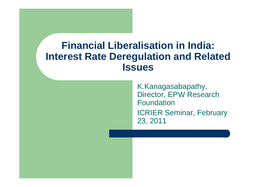#### **Financial Liberalisation in India: Interest Rate Deregulation and Related Issues**

K.Kanagasabapathy, Director, EPW Research Foundation ICRIER Seminar, February 23, 2011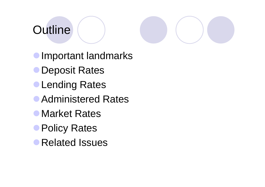# **Outline**

**Important landmarks** Deposit Rates**CLending Rates • Administered Rates** 

- 
- **Market Rates**
- **Policy Rates**
- Related Issues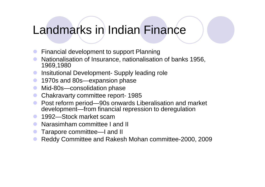# Landmarks in Indian Finance

- $\bullet$ Financial development to support Planning
- $\bullet$  Nationalisation of Insurance, nationalisation of banks 1956, 1969,1980
- **Insitutional Development- Supply leading role**  $\bullet$
- $\bullet$ 1970s and 80s—expansion phase
- $\bullet$ Mid-80s—consolidation phase
- $\bullet$ Chakravarty committee report - <sup>1985</sup>
- **•** Post reform period—90s onwards Liberalisation and market Post reform period—90s onwards Liberalisation and market  $\bullet$ development—from financial repression to deregulation
- **1992—Stock market scam**<br>Albrecimbers committee La
- **C** Narasimham committee I and II
- $\bullet$ Tarapore committee—I and II
- $\bullet$ Reddy Committee and Rakesh Mohan committee-2000, 2009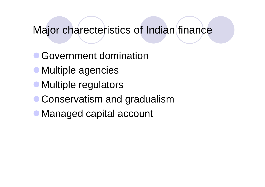#### Major charecteristics of Indian finance

- Government domination
- Multiple agencies
- Multiple regulators
- **Conservatism and gradualism**
- Managed capital account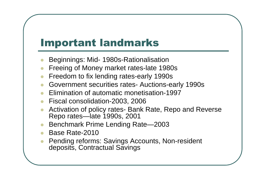# Important landmarks

- $\bullet$ Beginnings: Mid- 1980s-Rationalisation
- **Freeing of Money market rates-late 1980s**  $\bullet$
- $\bullet$ Freedom to fix lending rates-early 1990s
- Government securities rates- Auctions-early 1990s
- $\bullet$ **Elimination of automatic monetisation-1997**
- Fiscal consolidation-2003, 2006
- Activation of policy rates- Bank Rate, Repo and Reverse  $\bullet$ Repo rates—late 1990s, 2001
- Benchmark Prime Lending Rate—2003  $\bullet$
- $\bullet$ Base Rate-2010
- Pending reforms: Savings Accounts, Non-resident  $\bullet$ deposits, Contractual Savings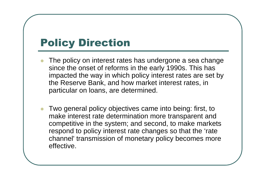# Policy Direction

- $\bullet$  The policy on interest rates has undergone a sea change since the onset of reforms in the early 1990s. This has impacted the way in which policy interest rates are set by the Reserve Bank, and how market interest rates, inparticular on loans, are determined.
- $\bullet$  Two general policy objectives came into being: first, to make interest rate determination more transparent and competitive in the system; and second, to make markets respond to policy interest rate changes so that the 'rate channel' transmission of monetary policy becomes more effective.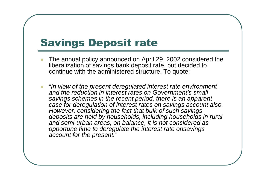# Savings Deposit rate

- $\bullet$  The annual policy announced on April 29, 2002 considered the liberalization of savings bank deposit rate, but decided to continue with the administered structure. To quote:
- $\bullet$  "In view of the present deregulated interest rate environment and the reduction in interest rates on Government's small savings schemes in the recent period, there is an apparent case for deregulation of interest rates on savings account also. However, considering the fact that bulk of such savings deposits are held by households, including households in rural and semi-urban areas, on balance, it is not considered as opportune time to deregulate the interest rate onsavings account for the present."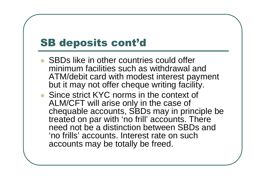# SB deposits cont'd

- SBDs like in other countries could offer minimum facilities such as withdrawal and ATM/debit card with modest interest payment but it may not offer cheque writing facility.
- Since strict KYC norms in the context of ALM/CFT will arise only in the case of chequable accounts, SBDs may in principle be treated on par with 'no frill' accounts. There need not be a distinction between SBDs and 'no frills' accounts. Interest rate on such accounts may be totally be freed.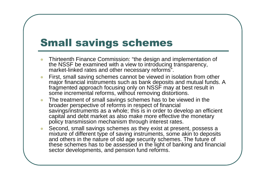# Small savings schemes

- $\bullet$  Thirteenth Finance Commission: "the design and implementation of the NSSF be examined with a view to introducing transparency, market-linked rates and other necessary reforms".
- First, small saving schemes cannot be viewed in isolation from other  $\bullet$ major financial instruments such as bank deposits and mutual funds. A fragmented approach focusing only on NSSF may at best result in some incremental reforms, without removing distortions.
- $\bullet$  The treatment of small savings schemes has to be viewed in the broader perspective of reforms in respect of financial savings/instruments as a whole; this is in order to develop an efficient capital and debt market as also make more effective the monetary policy transmission mechanism through interest rates.
- $\bullet$  Second, small savings schemes as they exist at present, possess a mixture of different type of saving instruments, some akin to deposits and others in the nature of old age security schemes. The future of these schemes has to be assessed in the light of banking and financial sector developments, and pension fund reforms.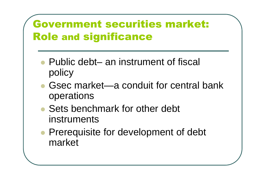# Government securities market: Role and significance

- $\bullet$ • Public debt– an instrument of fiscal policy
- $\bullet$ • Gsec market—a conduit for central bank operations
- $\bullet$ • Sets benchmark for other debt instruments
- $\bullet$ **• Prerequisite for development of debt** market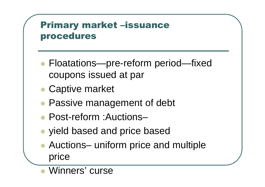#### Primary market –issuance procedures

- $\bullet$ • Floatations—pre-reform period—fixed coupons issued at par
- $\bullet$ Captive market
- $\bullet$ Passive management of debt
- $\bullet$ ● Post-reform :Auctions–
- $\bullet$ yield based and price based
- $\bullet$ ● Auctions– uniform price and multiple price
- $\bullet$ Winners' curse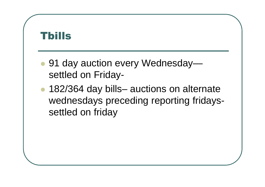# Tbills $\bullet$ ● 91 day auction every Wednesday settled on Friday- $\bullet$ • 182/364 day bills– auctions on alternate wednesdays preceding reporting fridayssettled on friday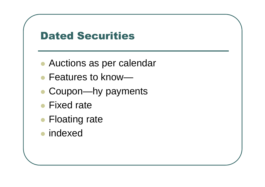### Dated Securities

- $\bullet$ Auctions as per calendar
- $\bullet$ ● Features to know—
- COUDON—NY DAVI • Coupon—hy payments
- $\bullet$ • Fixed rate
- $\bullet$ • Floating rate
- $\bullet$ **•** indexed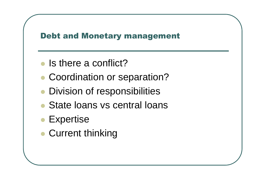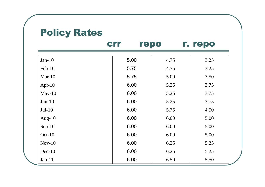#### Policy Rates

|           | <b>Crr</b> | repo | r. repo |
|-----------|------------|------|---------|
| $Jan-10$  | 5.00       | 4.75 | 3.25    |
| Feb-10    | 5.75       | 4.75 | 3.25    |
| Mar- $10$ | 5.75       | 5.00 | 3.50    |
| Apr- $10$ | 6.00       | 5.25 | 3.75    |
| $May-10$  | 6.00       | 5.25 | 3.75    |
| $Jun-10$  | 6.00       | 5.25 | 3.75    |
| $Jul-10$  | 6.00       | 5.75 | 4.50    |
| Aug- $10$ | 6.00       | 6.00 | 5.00    |
| $Sep-10$  | 6.00       | 6.00 | 5.00    |
| $Oct-10$  | 6.00       | 6.00 | 5.00    |
| $Nov-10$  | 6.00       | 6.25 | 5.25    |
| $Dec-10$  | 6.00       | 6.25 | 5.25    |
| $Jan-11$  | 6.00       | 6.50 | 5.50    |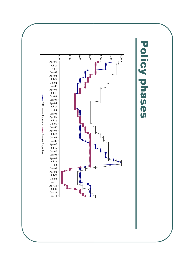**Policy phases** Policy phases

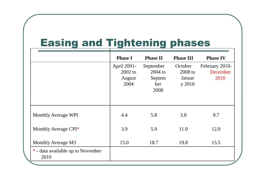# Easing and Tightening phases

|                                           | <b>Phase I</b>                           | <b>Phase II</b>                                 | <b>Phase III</b>                       | <b>Phase IV</b>                    |
|-------------------------------------------|------------------------------------------|-------------------------------------------------|----------------------------------------|------------------------------------|
|                                           | April 2001-<br>2002 to<br>August<br>2004 | September<br>$2004$ to<br>Septem<br>ber<br>2008 | October<br>2008 to<br>Januar<br>y 2010 | February 2010-<br>December<br>2010 |
| <b>Monthly Average WPI</b>                | 4.4                                      | 5.8                                             | 3.8                                    | 9.7                                |
| Monthly Average CPI <sup>*</sup>          | 3.9                                      | 5.9                                             | 11.0                                   | 12.0                               |
| Monthly Average M3                        | 15.0                                     | 18.7                                            | 19.8                                   | 15.5                               |
| * - data available up to November<br>2010 |                                          |                                                 |                                        |                                    |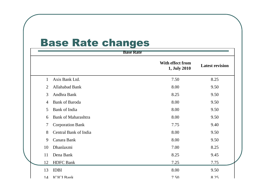#### Base Rate changes

| <b>Base Rate</b> |                            |                                  |                        |  |
|------------------|----------------------------|----------------------------------|------------------------|--|
|                  |                            | With effect from<br>1, July 2010 | <b>Latest revision</b> |  |
| $\mathbf{1}$     | Axis Bank Ltd.             | 7.50                             | 8.25                   |  |
| $\overline{2}$   | Allahabad Bank             | 8.00                             | 9.50                   |  |
| $\overline{3}$   | Andhra Bank                | 8.25                             | 9.50                   |  |
| $\overline{4}$   | <b>Bank of Baroda</b>      | 8.00                             | 9.50                   |  |
| 5                | <b>Bank of India</b>       | 8.00                             | 9.50                   |  |
| 6                | <b>Bank of Maharashtra</b> | 8.00                             | 9.50                   |  |
| 7                | <b>Corporation Bank</b>    | 7.75                             | 9.40                   |  |
| 8                | Central Bank of India      | 8.00                             | 9.50                   |  |
| 9                | Canara Bank                | 8.00                             | 9.50                   |  |
| 10               | Dhanlaxmi                  | 7.00                             | 8.25                   |  |
| 11               | Dena Bank                  | 8.25                             | 9.45                   |  |
| 12               | <b>HDFC</b> Bank           | 7.25                             | 7.75                   |  |
| 13               | <b>IDBI</b>                | 8.00                             | 9.50                   |  |
| 14               | <b>ICICI</b> Bank          | 7.50                             | 8 25                   |  |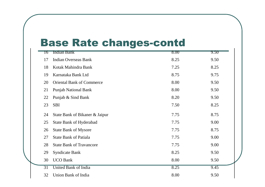#### Base Rate changes-contd

| 16 | <b>Indian Bank</b>               | 8.00 | 9.50 |
|----|----------------------------------|------|------|
| 17 | <b>Indian Overseas Bank</b>      | 8.25 | 9.50 |
| 18 | Kotak Mahindra Bank              | 7.25 | 8.25 |
| 19 | Karnataka Bank Ltd               | 8.75 | 9.75 |
| 20 | <b>Oriental Bank of Commerce</b> | 8.00 | 9.50 |
| 21 | <b>Punjab National Bank</b>      | 8.00 | 9.50 |
| 22 | Punjab & Sind Bank               | 8.20 | 9.50 |
| 23 | <b>SBI</b>                       | 7.50 | 8.25 |
| 24 | State Bank of Bikaner & Jaipur   | 7.75 | 8.75 |
| 25 | <b>State Bank of Hyderabad</b>   | 7.75 | 9.00 |
| 26 | <b>State Bank of Mysore</b>      | 7.75 | 8.75 |
| 27 | <b>State Bank of Patiala</b>     | 7.75 | 9.00 |
| 28 | <b>State Bank of Travancore</b>  | 7.75 | 9.00 |
| 29 | <b>Syndicate Bank</b>            | 8.25 | 9.50 |
| 30 | <b>UCO Bank</b>                  | 8.00 | 9.50 |
| 31 | <b>United Bank of India</b>      | 8.25 | 9.45 |
| 32 | Union Bank of India              | 8.00 | 9.50 |

 $\mathbf{L}$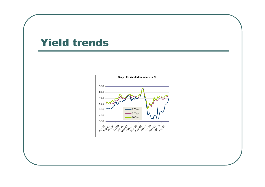#### Yield trends